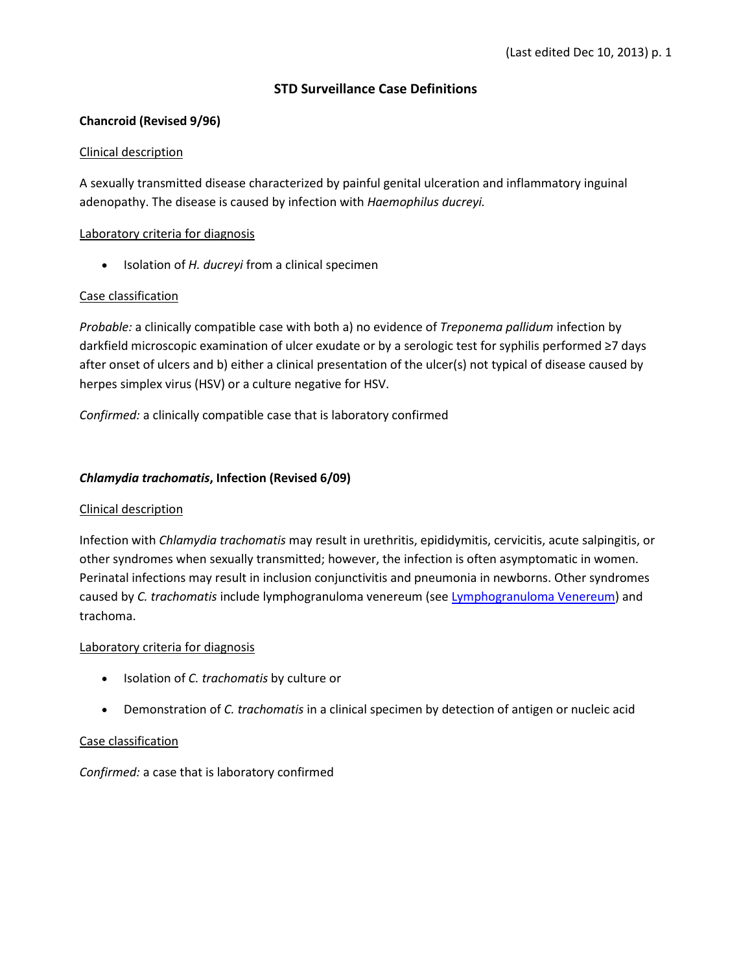## **STD Surveillance Case Definitions**

## **Chancroid (Revised 9/96)**

#### Clinical description

A sexually transmitted disease characterized by painful genital ulceration and inflammatory inguinal adenopathy. The disease is caused by infection with *Haemophilus ducreyi.*

## Laboratory criteria for diagnosis

• Isolation of *H. ducreyi* from a clinical specimen

## Case classification

*Probable:* a clinically compatible case with both a) no evidence of *Treponema pallidum* infection by darkfield microscopic examination of ulcer exudate or by a serologic test for syphilis performed ≥7 days after onset of ulcers and b) either a clinical presentation of the ulcer(s) not typical of disease caused by herpes simplex virus (HSV) or a culture negative for HSV.

*Confirmed:* a clinically compatible case that is laboratory confirmed

## *Chlamydia trachomatis***, Infection (Revised 6/09)**

#### Clinical description

Infection with *Chlamydia trachomatis* may result in urethritis, epididymitis, cervicitis, acute salpingitis, or other syndromes when sexually transmitted; however, the infection is often asymptomatic in women. Perinatal infections may result in inclusion conjunctivitis and pneumonia in newborns. Other syndromes caused by *C. trachomatis* include lymphogranuloma venereum (se[e Lymphogranuloma Venereum\)](http://www.cdc.gov/std/stats11/app-casedef-2.htm#lgv) and trachoma.

#### Laboratory criteria for diagnosis

- Isolation of *C. trachomatis* by culture or
- Demonstration of *C. trachomatis* in a clinical specimen by detection of antigen or nucleic acid

# Case classification

*Confirmed:* a case that is laboratory confirmed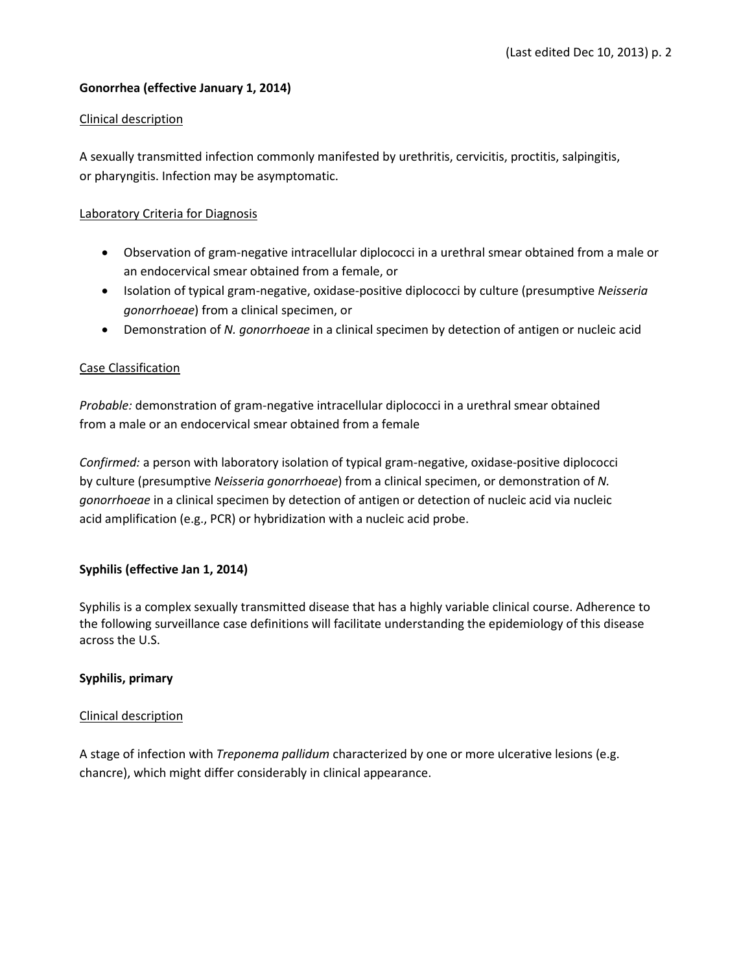## **Gonorrhea (effective January 1, 2014)**

#### Clinical description

A sexually transmitted infection commonly manifested by urethritis, cervicitis, proctitis, salpingitis, or pharyngitis. Infection may be asymptomatic.

#### Laboratory Criteria for Diagnosis

- Observation of gram-negative intracellular diplococci in a urethral smear obtained from a male or an endocervical smear obtained from a female, or
- Isolation of typical gram-negative, oxidase-positive diplococci by culture (presumptive *Neisseria gonorrhoeae*) from a clinical specimen, or
- Demonstration of *N. gonorrhoeae* in a clinical specimen by detection of antigen or nucleic acid

#### Case Classification

*Probable:* demonstration of gram-negative intracellular diplococci in a urethral smear obtained from a male or an endocervical smear obtained from a female

*Confirmed:* a person with laboratory isolation of typical gram-negative, oxidase-positive diplococci by culture (presumptive *Neisseria gonorrhoeae*) from a clinical specimen, or demonstration of *N. gonorrhoeae* in a clinical specimen by detection of antigen or detection of nucleic acid via nucleic acid amplification (e.g., PCR) or hybridization with a nucleic acid probe.

#### **Syphilis (effective Jan 1, 2014)**

Syphilis is a complex sexually transmitted disease that has a highly variable clinical course. Adherence to the following surveillance case definitions will facilitate understanding the epidemiology of this disease across the U.S.

#### **Syphilis, primary**

#### Clinical description

A stage of infection with *Treponema pallidum* characterized by one or more ulcerative lesions (e.g. chancre), which might differ considerably in clinical appearance.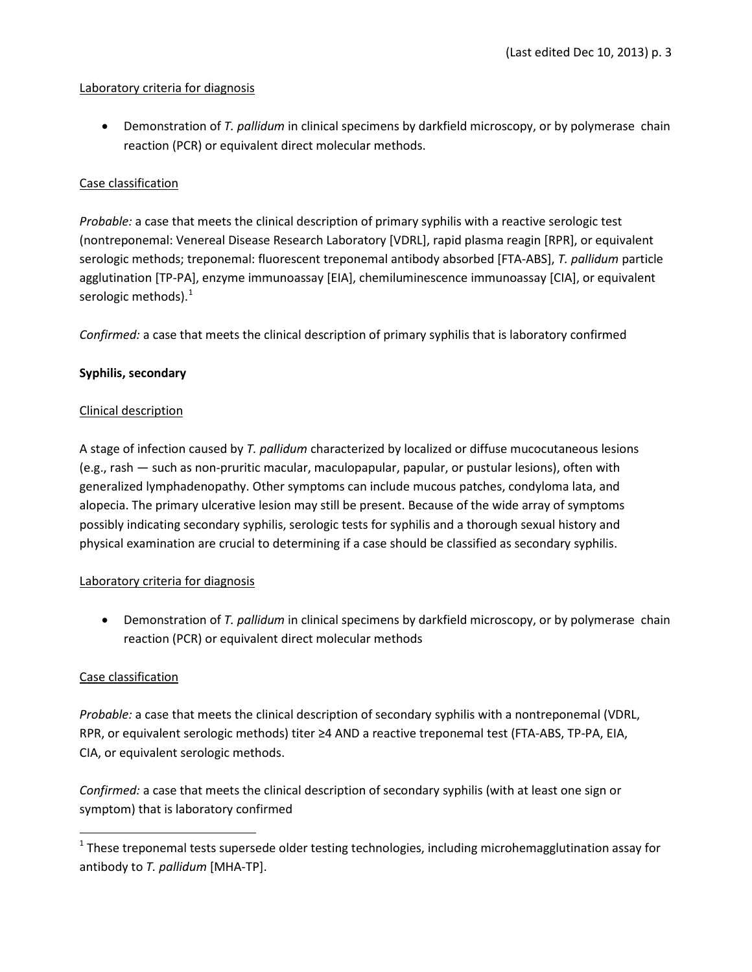## Laboratory criteria for diagnosis

• Demonstration of *T. pallidum* in clinical specimens by darkfield microscopy, or by polymerase chain reaction (PCR) or equivalent direct molecular methods.

## Case classification

*Probable:* a case that meets the clinical description of primary syphilis with a reactive serologic test (nontreponemal: Venereal Disease Research Laboratory [VDRL], rapid plasma reagin [RPR], or equivalent serologic methods; treponemal: fluorescent treponemal antibody absorbed [FTA-ABS], *T. pallidum* particle agglutination [TP-PA], enzyme immunoassay [EIA], chemiluminescence immunoassay [CIA], or equivalent serologic methods). $^1$  $^1$ 

*Confirmed:* a case that meets the clinical description of primary syphilis that is laboratory confirmed

## **Syphilis, secondary**

#### Clinical description

A stage of infection caused by *T. pallidum* characterized by localized or diffuse mucocutaneous lesions (e.g., rash — such as non-pruritic macular, maculopapular, papular, or pustular lesions), often with generalized lymphadenopathy. Other symptoms can include mucous patches, condyloma lata, and alopecia. The primary ulcerative lesion may still be present. Because of the wide array of symptoms possibly indicating secondary syphilis, serologic tests for syphilis and a thorough sexual history and physical examination are crucial to determining if a case should be classified as secondary syphilis.

#### Laboratory criteria for diagnosis

• Demonstration of *T. pallidum* in clinical specimens by darkfield microscopy, or by polymerase chain reaction (PCR) or equivalent direct molecular methods

#### Case classification

*Probable:* a case that meets the clinical description of secondary syphilis with a nontreponemal (VDRL, RPR, or equivalent serologic methods) titer ≥4 AND a reactive treponemal test (FTA-ABS, TP-PA, EIA, CIA, or equivalent serologic methods.

*Confirmed:* a case that meets the clinical description of secondary syphilis (with at least one sign or symptom) that is laboratory confirmed

<span id="page-2-0"></span> $1$  These treponemal tests supersede older testing technologies, including microhemagglutination assay for antibody to *T. pallidum* [MHA-TP].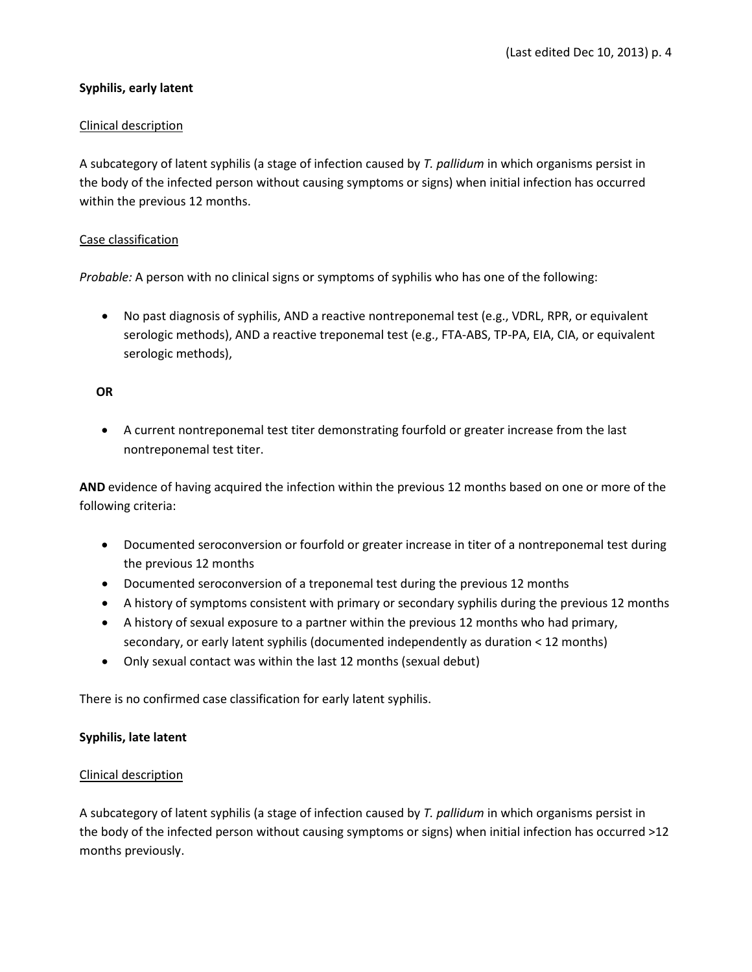## **Syphilis, early latent**

#### Clinical description

A subcategory of latent syphilis (a stage of infection caused by *T. pallidum* in which organisms persist in the body of the infected person without causing symptoms or signs) when initial infection has occurred within the previous 12 months.

## Case classification

*Probable:* A person with no clinical signs or symptoms of syphilis who has one of the following:

• No past diagnosis of syphilis, AND a reactive nontreponemal test (e.g., VDRL, RPR, or equivalent serologic methods), AND a reactive treponemal test (e.g., FTA-ABS, TP-PA, EIA, CIA, or equivalent serologic methods),

#### **OR**

• A current nontreponemal test titer demonstrating fourfold or greater increase from the last nontreponemal test titer.

**AND** evidence of having acquired the infection within the previous 12 months based on one or more of the following criteria:

- Documented seroconversion or fourfold or greater increase in titer of a nontreponemal test during the previous 12 months
- Documented seroconversion of a treponemal test during the previous 12 months
- A history of symptoms consistent with primary or secondary syphilis during the previous 12 months
- A history of sexual exposure to a partner within the previous 12 months who had primary, secondary, or early latent syphilis (documented independently as duration < 12 months)
- Only sexual contact was within the last 12 months (sexual debut)

There is no confirmed case classification for early latent syphilis.

#### **Syphilis, late latent**

#### Clinical description

A subcategory of latent syphilis (a stage of infection caused by *T. pallidum* in which organisms persist in the body of the infected person without causing symptoms or signs) when initial infection has occurred >12 months previously.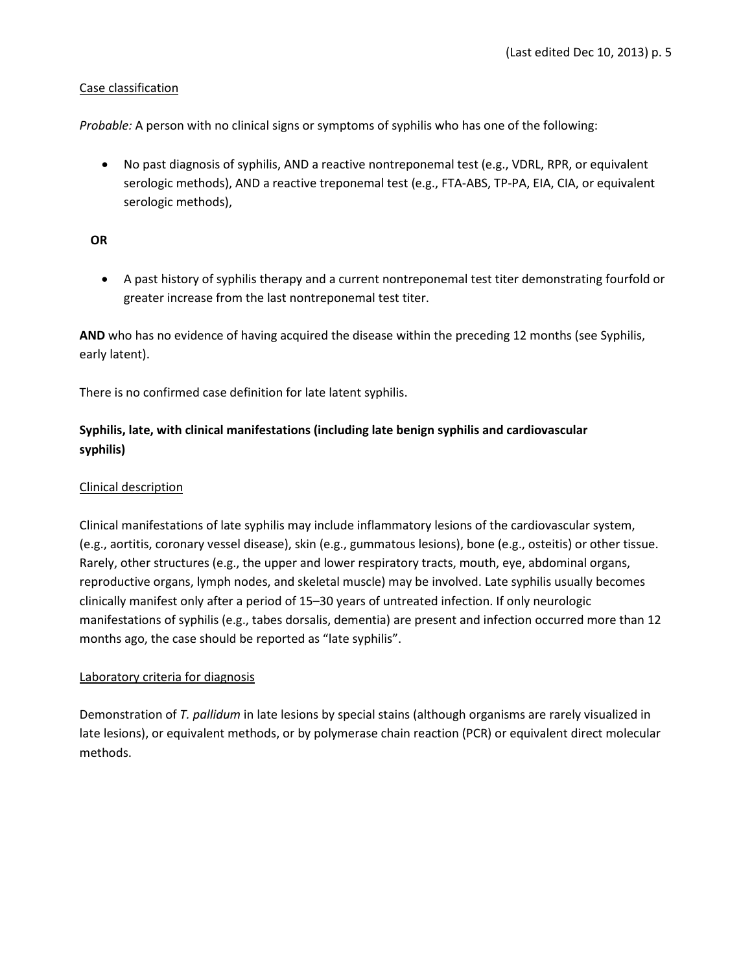# Case classification

*Probable:* A person with no clinical signs or symptoms of syphilis who has one of the following:

• No past diagnosis of syphilis, AND a reactive nontreponemal test (e.g., VDRL, RPR, or equivalent serologic methods), AND a reactive treponemal test (e.g., FTA-ABS, TP-PA, EIA, CIA, or equivalent serologic methods),

#### **OR**

• A past history of syphilis therapy and a current nontreponemal test titer demonstrating fourfold or greater increase from the last nontreponemal test titer.

**AND** who has no evidence of having acquired the disease within the preceding 12 months (see Syphilis, early latent).

There is no confirmed case definition for late latent syphilis.

# **Syphilis, late, with clinical manifestations (including late benign syphilis and cardiovascular syphilis)**

## Clinical description

Clinical manifestations of late syphilis may include inflammatory lesions of the cardiovascular system, (e.g., aortitis, coronary vessel disease), skin (e.g., gummatous lesions), bone (e.g., osteitis) or other tissue. Rarely, other structures (e.g., the upper and lower respiratory tracts, mouth, eye, abdominal organs, reproductive organs, lymph nodes, and skeletal muscle) may be involved. Late syphilis usually becomes clinically manifest only after a period of 15–30 years of untreated infection. If only neurologic manifestations of syphilis (e.g., tabes dorsalis, dementia) are present and infection occurred more than 12 months ago, the case should be reported as "late syphilis".

#### Laboratory criteria for diagnosis

Demonstration of *T. pallidum* in late lesions by special stains (although organisms are rarely visualized in late lesions), or equivalent methods, or by polymerase chain reaction (PCR) or equivalent direct molecular methods.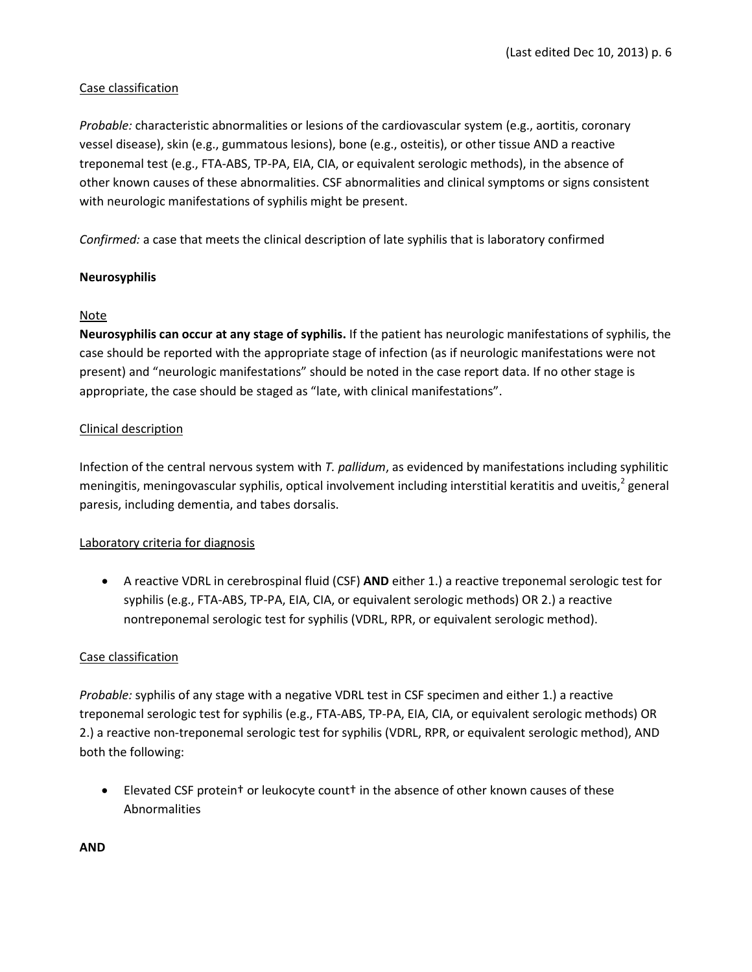# Case classification

*Probable:* characteristic abnormalities or lesions of the cardiovascular system (e.g., aortitis, coronary vessel disease), skin (e.g., gummatous lesions), bone (e.g., osteitis), or other tissue AND a reactive treponemal test (e.g., FTA-ABS, TP-PA, EIA, CIA, or equivalent serologic methods), in the absence of other known causes of these abnormalities. CSF abnormalities and clinical symptoms or signs consistent with neurologic manifestations of syphilis might be present.

*Confirmed:* a case that meets the clinical description of late syphilis that is laboratory confirmed

## **Neurosyphilis**

#### Note

**Neurosyphilis can occur at any stage of syphilis.** If the patient has neurologic manifestations of syphilis, the case should be reported with the appropriate stage of infection (as if neurologic manifestations were not present) and "neurologic manifestations" should be noted in the case report data. If no other stage is appropriate, the case should be staged as "late, with clinical manifestations".

#### Clinical description

Infection of the central nervous system with *T. pallidum*, as evidenced by manifestations including syphilitic meningitis, meningovascular syphilis, optical involvement including interstitial keratitis and uveitis, $2$  general paresis, including dementia, and tabes dorsalis.

#### Laboratory criteria for diagnosis

• A reactive VDRL in cerebrospinal fluid (CSF) **AND** either 1.) a reactive treponemal serologic test for syphilis (e.g., FTA-ABS, TP-PA, EIA, CIA, or equivalent serologic methods) OR 2.) a reactive nontreponemal serologic test for syphilis (VDRL, RPR, or equivalent serologic method).

#### Case classification

*Probable:* syphilis of any stage with a negative VDRL test in CSF specimen and either 1.) a reactive treponemal serologic test for syphilis (e.g., FTA-ABS, TP-PA, EIA, CIA, or equivalent serologic methods) OR 2.) a reactive non-treponemal serologic test for syphilis (VDRL, RPR, or equivalent serologic method), AND both the following:

• Elevated CSF proteint or leukocyte countt in the absence of other known causes of these Abnormalities

**AND**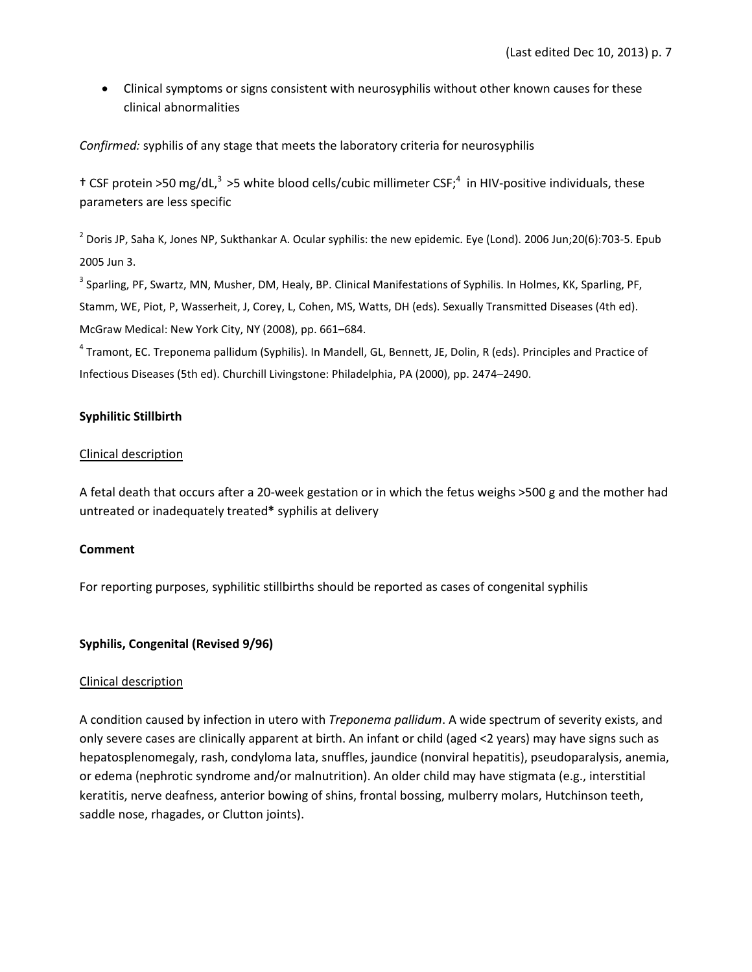• Clinical symptoms or signs consistent with neurosyphilis without other known causes for these clinical abnormalities

*Confirmed:* syphilis of any stage that meets the laboratory criteria for neurosyphilis

 $\pm$  CSF protein >50 mg/dL,<sup>3</sup> >5 white blood cells/cubic millimeter CSF;<sup>4</sup> in HIV-positive individuals, these parameters are less specific

 $^2$  Doris JP, Saha K, Jones NP, Sukthankar A. Ocular syphilis: the new epidemic. Eye (Lond). 2006 Jun;20(6):703-5. Epub 2005 Jun 3.

<sup>3</sup> Sparling, PF, Swartz, MN, Musher, DM, Healy, BP. Clinical Manifestations of Syphilis. In Holmes, KK, Sparling, PF, Stamm, WE, Piot, P, Wasserheit, J, Corey, L, Cohen, MS, Watts, DH (eds). Sexually Transmitted Diseases (4th ed). McGraw Medical: New York City, NY (2008), pp. 661–684.

<sup>4</sup> Tramont, EC. Treponema pallidum (Syphilis). In Mandell, GL, Bennett, JE, Dolin, R (eds). Principles and Practice of Infectious Diseases (5th ed). Churchill Livingstone: Philadelphia, PA (2000), pp. 2474–2490.

## **Syphilitic Stillbirth**

#### Clinical description

A fetal death that occurs after a 20-week gestation or in which the fetus weighs >500 g and the mother had untreated or inadequately treated**[\\*](http://www.cdc.gov/std/stats11/app-casedef.htm#ast)** syphilis at delivery

#### **Comment**

For reporting purposes, syphilitic stillbirths should be reported as cases of congenital syphilis

#### **Syphilis, Congenital (Revised 9/96)**

#### Clinical description

A condition caused by infection in utero with *Treponema pallidum*. A wide spectrum of severity exists, and only severe cases are clinically apparent at birth. An infant or child (aged <2 years) may have signs such as hepatosplenomegaly, rash, condyloma lata, snuffles, jaundice (nonviral hepatitis), pseudoparalysis, anemia, or edema (nephrotic syndrome and/or malnutrition). An older child may have stigmata (e.g., interstitial keratitis, nerve deafness, anterior bowing of shins, frontal bossing, mulberry molars, Hutchinson teeth, saddle nose, rhagades, or Clutton joints).